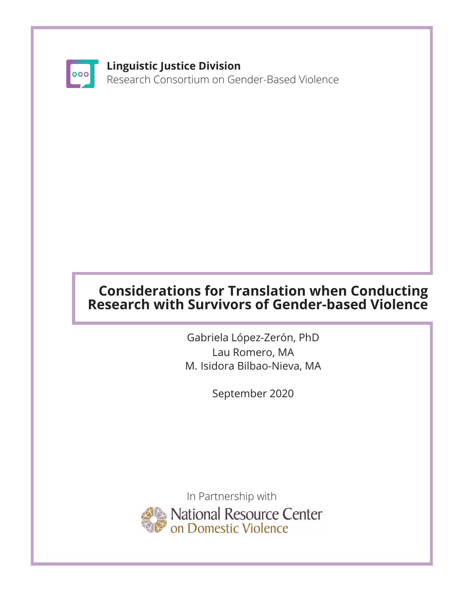

#### **Linguistic Justice Division**

Research Consortium on Gender-Based Violence

# **Considerations for Translation when Conducting Research with Survivors of Gender-based Violence**

Gabriela López-Zerón, PhD Lau Romero, MA M. Isidora Bilbao-Nieva, MA

September 2020

In Partnership with National Resource Center<br>On Domestic Violence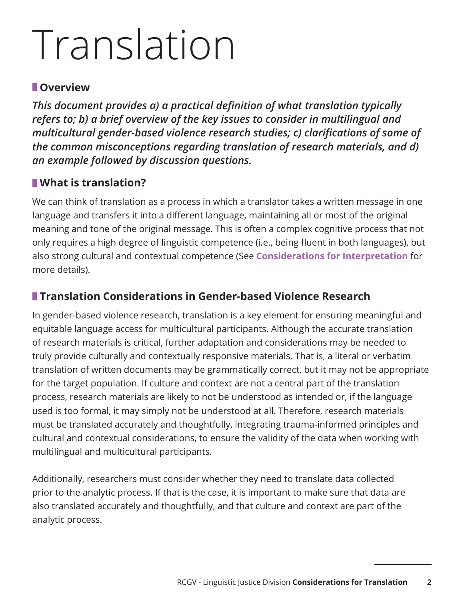# Translation

#### **Overview**

*This document provides a) a practical definition of what translation typically refers to; b) a brief overview of the key issues to consider in multilingual and multicultural gender-based violence research studies; c) clarifications of some of the common misconceptions regarding translation of research materials, and d) an example followed by discussion questions.* 

### **What is translation?**

We can think of translation as a process in which a translator takes a written message in one language and transfers it into a different language, maintaining all or most of the original meaning and tone of the original message. This is often a complex cognitive process that not only requires a high degree of linguistic competence (i.e., being fluent in both languages), but also strong cultural and contextual competence (See **Considerations for Interpretation** for more details).

# **Translation Considerations in Gender-based Violence Research**

In gender-based violence research, translation is a key element for ensuring meaningful and equitable language access for multicultural participants. Although the accurate translation of research materials is critical, further adaptation and considerations may be needed to truly provide culturally and contextually responsive materials. That is, a literal or verbatim translation of written documents may be grammatically correct, but it may not be appropriate for the target population. If culture and context are not a central part of the translation process, research materials are likely to not be understood as intended or, if the language used is too formal, it may simply not be understood at all. Therefore, research materials must be translated accurately and thoughtfully, integrating trauma-informed principles and cultural and contextual considerations, to ensure the validity of the data when working with multilingual and multicultural participants.

Additionally, researchers must consider whether they need to translate data collected prior to the analytic process. If that is the case, it is important to make sure that data are also translated accurately and thoughtfully, and that culture and context are part of the analytic process.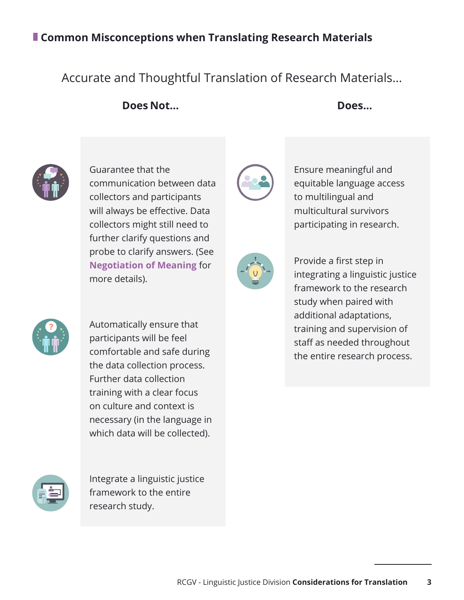## **Common Misconceptions when Translating Research Materials**

## Accurate and Thoughtful Translation of Research Materials...

**Does Not... Does...**



Guarantee that the communication between data collectors and participants will always be effective. Data collectors might still need to further clarify questions and probe to clarify answers. (See **Negotiation of Meaning** for more details).



Ensure meaningful and equitable language access to multilingual and multicultural survivors participating in research.



Provide a first step in integrating a linguistic justice framework to the research study when paired with additional adaptations, training and supervision of staff as needed throughout the entire research process.



Automatically ensure that participants will be feel comfortable and safe during the data collection process. Further data collection training with a clear focus on culture and context is necessary (in the language in which data will be collected).



Integrate a linguistic justice framework to the entire research study.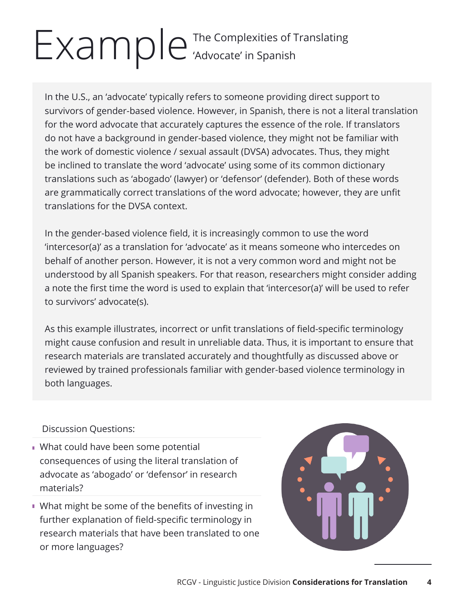# Example The Complexities of Translating 'Advocate' in Spanish

In the U.S., an 'advocate' typically refers to someone providing direct support to survivors of gender-based violence. However, in Spanish, there is not a literal translation for the word advocate that accurately captures the essence of the role. If translators do not have a background in gender-based violence, they might not be familiar with the work of domestic violence / sexual assault (DVSA) advocates. Thus, they might be inclined to translate the word 'advocate' using some of its common dictionary translations such as 'abogado' (lawyer) or 'defensor' (defender). Both of these words are grammatically correct translations of the word advocate; however, they are unfit translations for the DVSA context.

In the gender-based violence field, it is increasingly common to use the word 'intercesor(a)' as a translation for 'advocate' as it means someone who intercedes on behalf of another person. However, it is not a very common word and might not be understood by all Spanish speakers. For that reason, researchers might consider adding a note the first time the word is used to explain that 'intercesor(a)' will be used to refer to survivors' advocate(s).

As this example illustrates, incorrect or unfit translations of field-specific terminology might cause confusion and result in unreliable data. Thus, it is important to ensure that research materials are translated accurately and thoughtfully as discussed above or reviewed by trained professionals familiar with gender-based violence terminology in both languages.

Discussion Questions:

- What could have been some potential consequences of using the literal translation of advocate as 'abogado' or 'defensor' in research materials?
- What might be some of the benefits of investing in further explanation of field-specific terminology in research materials that have been translated to one or more languages?